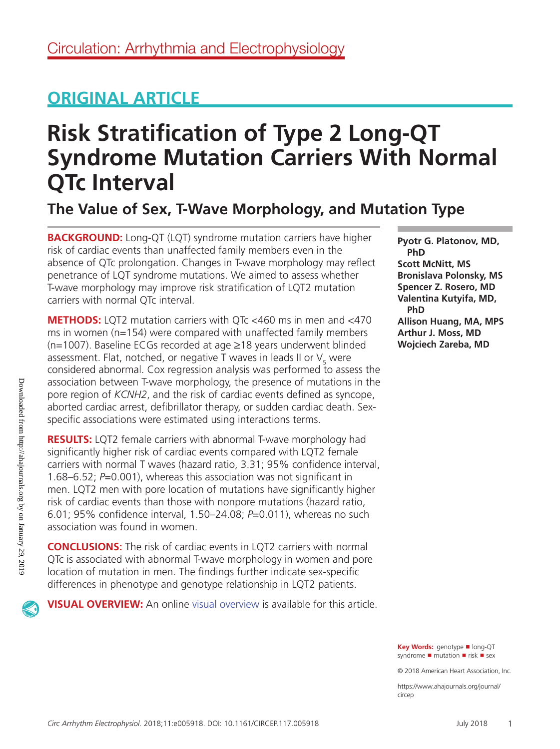## **ORIGINAL ARTICLE**

# **Risk Stratification of Type 2 Long-QT Syndrome Mutation Carriers With Normal QTc Interval**

**The Value of Sex, T-Wave Morphology, and Mutation Type**

**BACKGROUND:** Long-QT (LQT) syndrome mutation carriers have higher risk of cardiac events than unaffected family members even in the absence of QTc prolongation. Changes in T-wave morphology may reflect penetrance of LQT syndrome mutations. We aimed to assess whether T-wave morphology may improve risk stratification of LQT2 mutation carriers with normal QTc interval.

**METHODS:** LQT2 mutation carriers with QTc <460 ms in men and <470 ms in women (n=154) were compared with unaffected family members (n=1007). Baseline ECGs recorded at age ≥18 years underwent blinded assessment. Flat, notched, or negative T waves in leads II or  $\mathsf{V}_{\mathsf{5}}$  were considered abnormal. Cox regression analysis was performed to assess the association between T-wave morphology, the presence of mutations in the pore region of *KCNH2*, and the risk of cardiac events defined as syncope, aborted cardiac arrest, defibrillator therapy, or sudden cardiac death. Sexspecific associations were estimated using interactions terms.

**RESULTS:** LQT2 female carriers with abnormal T-wave morphology had significantly higher risk of cardiac events compared with LQT2 female carriers with normal T waves (hazard ratio, 3.31; 95% confidence interval, 1.68–6.52; *P*=0.001), whereas this association was not significant in men. LQT2 men with pore location of mutations have significantly higher risk of cardiac events than those with nonpore mutations (hazard ratio, 6.01; 95% confidence interval, 1.50–24.08; *P*=0.011), whereas no such association was found in women.

**CONCLUSIONS:** The risk of cardiac events in LQT2 carriers with normal QTc is associated with abnormal T-wave morphology in women and pore location of mutation in men. The findings further indicate sex-specific differences in phenotype and genotype relationship in LQT2 patients.

**VISUAL OVERVIEW:** An online visual overview is available for this article.

**Pyotr G. Platonov, MD, PhD Scott McNitt, MS Bronislava Polonsky, MS Spencer Z. Rosero, MD Valentina Kutyifa, MD, PhD Allison Huang, MA, MPS Arthur J. Moss, MD Wojciech Zareba, MD**

**Key Words:** genotype ◼ long-QT syndrome ■ mutation ■ risk ■ sex

© 2018 American Heart Association, Inc.

https://www.ahajournals.org/journal/ circep

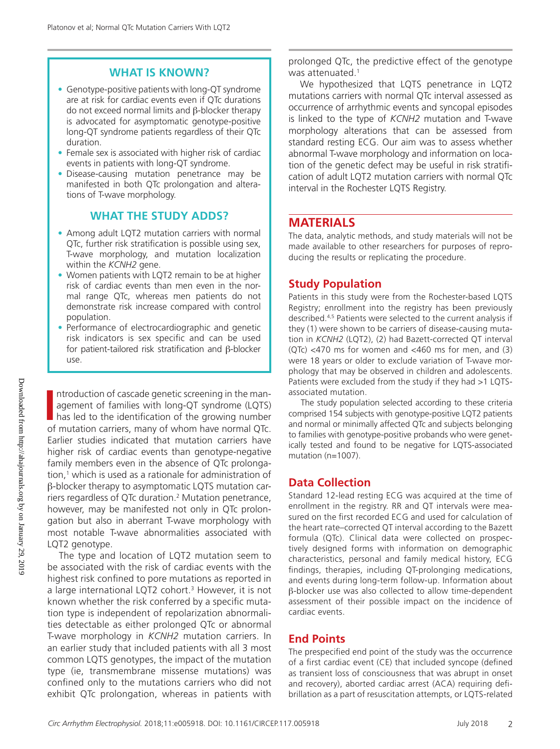## **WHAT IS KNOWN?**

- Genotype-positive patients with long-QT syndrome are at risk for cardiac events even if QTc durations do not exceed normal limits and β-blocker therapy is advocated for asymptomatic genotype-positive long-QT syndrome patients regardless of their QTc duration.
- Female sex is associated with higher risk of cardiac events in patients with long-QT syndrome.
- Disease-causing mutation penetrance may be manifested in both QTc prolongation and alterations of T-wave morphology.

## **WHAT THE STUDY ADDS?**

- Among adult LQT2 mutation carriers with normal QTc, further risk stratification is possible using sex, T-wave morphology, and mutation localization within the *KCNH2* gene.
- Women patients with LQT2 remain to be at higher risk of cardiac events than men even in the normal range QTc, whereas men patients do not demonstrate risk increase compared with control population.
- Performance of electrocardiographic and genetic risk indicators is sex specific and can be used for patient-tailored risk stratification and β-blocker use.

Introduction of cascade genetic screening in the management of families with long-QT syndrome (LQTS) has led to the identification of the growing number of mutation carriers, many of whom have normal OTc ntroduction of cascade genetic screening in the management of families with long-QT syndrome (LQTS) of mutation carriers, many of whom have normal QTc. Earlier studies indicated that mutation carriers have higher risk of cardiac events than genotype-negative family members even in the absence of QTc prolongation,<sup>1</sup> which is used as a rationale for administration of β-blocker therapy to asymptomatic LQTS mutation carriers regardless of QTc duration.2 Mutation penetrance, however, may be manifested not only in QTc prolongation but also in aberrant T-wave morphology with most notable T-wave abnormalities associated with LQT2 genotype.

The type and location of LQT2 mutation seem to be associated with the risk of cardiac events with the highest risk confined to pore mutations as reported in a large international LQT2 cohort.<sup>3</sup> However, it is not known whether the risk conferred by a specific mutation type is independent of repolarization abnormalities detectable as either prolonged QTc or abnormal T-wave morphology in *KCNH2* mutation carriers. In an earlier study that included patients with all 3 most common LQTS genotypes, the impact of the mutation type (ie, transmembrane missense mutations) was confined only to the mutations carriers who did not exhibit QTc prolongation, whereas in patients with

prolonged QTc, the predictive effect of the genotype was attenuated.<sup>1</sup>

We hypothesized that LQTS penetrance in LQT2 mutations carriers with normal QTc interval assessed as occurrence of arrhythmic events and syncopal episodes is linked to the type of *KCNH2* mutation and T-wave morphology alterations that can be assessed from standard resting ECG. Our aim was to assess whether abnormal T-wave morphology and information on location of the genetic defect may be useful in risk stratification of adult LQT2 mutation carriers with normal QTc interval in the Rochester LQTS Registry.

## **MATERIALS**

The data, analytic methods, and study materials will not be made available to other researchers for purposes of reproducing the results or replicating the procedure.

## **Study Population**

Patients in this study were from the Rochester-based LQTS Registry; enrollment into the registry has been previously described.4,5 Patients were selected to the current analysis if they (1) were shown to be carriers of disease-causing mutation in *KCNH2* (LQT2), (2) had Bazett-corrected QT interval (QTc) <470 ms for women and <460 ms for men, and (3) were 18 years or older to exclude variation of T-wave morphology that may be observed in children and adolescents. Patients were excluded from the study if they had >1 LQTSassociated mutation.

The study population selected according to these criteria comprised 154 subjects with genotype-positive LQT2 patients and normal or minimally affected QTc and subjects belonging to families with genotype-positive probands who were genetically tested and found to be negative for LQTS-associated mutation (n=1007).

## **Data Collection**

Standard 12-lead resting ECG was acquired at the time of enrollment in the registry. RR and QT intervals were measured on the first recorded ECG and used for calculation of the heart rate–corrected QT interval according to the Bazett formula (QTc). Clinical data were collected on prospectively designed forms with information on demographic characteristics, personal and family medical history, ECG findings, therapies, including QT-prolonging medications, and events during long-term follow-up. Information about β-blocker use was also collected to allow time-dependent assessment of their possible impact on the incidence of cardiac events.

## **End Points**

The prespecified end point of the study was the occurrence of a first cardiac event (CE) that included syncope (defined as transient loss of consciousness that was abrupt in onset and recovery), aborted cardiac arrest (ACA) requiring defibrillation as a part of resuscitation attempts, or LQTS-related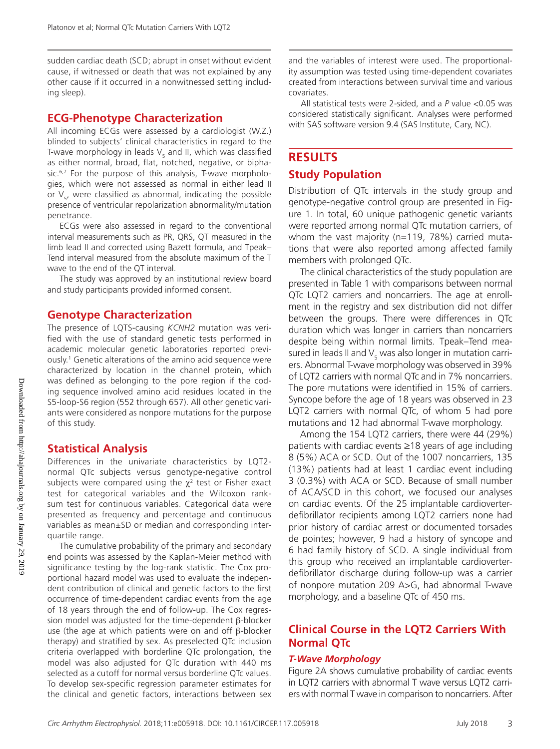sudden cardiac death (SCD; abrupt in onset without evident cause, if witnessed or death that was not explained by any other cause if it occurred in a nonwitnessed setting including sleep).

### **ECG-Phenotype Characterization**

All incoming ECGs were assessed by a cardiologist (W.Z.) blinded to subjects' clinical characteristics in regard to the T-wave morphology in leads  $\mathsf{V}_5$  and II, which was classified as either normal, broad, flat, notched, negative, or biphasic.<sup>6,7</sup> For the purpose of this analysis, T-wave morphologies, which were not assessed as normal in either lead II or  $V_{5}$ , were classified as abnormal, indicating the possible presence of ventricular repolarization abnormality/mutation penetrance.

ECGs were also assessed in regard to the conventional interval measurements such as PR, QRS, QT measured in the limb lead II and corrected using Bazett formula, and Tpeak– Tend interval measured from the absolute maximum of the T wave to the end of the QT interval.

The study was approved by an institutional review board and study participants provided informed consent.

#### **Genotype Characterization**

The presence of LQTS-causing *KCNH2* mutation was verified with the use of standard genetic tests performed in academic molecular genetic laboratories reported previously.1 Genetic alterations of the amino acid sequence were characterized by location in the channel protein, which was defined as belonging to the pore region if the coding sequence involved amino acid residues located in the S5-loop-S6 region (552 through 657). All other genetic variants were considered as nonpore mutations for the purpose of this study.

#### **Statistical Analysis**

Differences in the univariate characteristics by LQT2 normal QTc subjects versus genotype-negative control subjects were compared using the  $\chi^2$  test or Fisher exact test for categorical variables and the Wilcoxon ranksum test for continuous variables. Categorical data were presented as frequency and percentage and continuous variables as mean±SD or median and corresponding interquartile range.

The cumulative probability of the primary and secondary end points was assessed by the Kaplan-Meier method with significance testing by the log-rank statistic. The Cox proportional hazard model was used to evaluate the independent contribution of clinical and genetic factors to the first occurrence of time-dependent cardiac events from the age of 18 years through the end of follow-up. The Cox regression model was adjusted for the time-dependent β-blocker use (the age at which patients were on and off β-blocker therapy) and stratified by sex. As preselected QTc inclusion criteria overlapped with borderline QTc prolongation, the model was also adjusted for QTc duration with 440 ms selected as a cutoff for normal versus borderline QTc values. To develop sex-specific regression parameter estimates for the clinical and genetic factors, interactions between sex

and the variables of interest were used. The proportionality assumption was tested using time-dependent covariates created from interactions between survival time and various covariates.

All statistical tests were 2-sided, and a *P* value <0.05 was considered statistically significant. Analyses were performed with SAS software version 9.4 (SAS Institute, Cary, NC).

## **RESULTS**

## **Study Population**

Distribution of QTc intervals in the study group and genotype-negative control group are presented in Figure 1. In total, 60 unique pathogenic genetic variants were reported among normal QTc mutation carriers, of whom the vast majority (n=119, 78%) carried mutations that were also reported among affected family members with prolonged QTc.

The clinical characteristics of the study population are presented in Table 1 with comparisons between normal QTc LQT2 carriers and noncarriers. The age at enrollment in the registry and sex distribution did not differ between the groups. There were differences in QTc duration which was longer in carriers than noncarriers despite being within normal limits. Tpeak–Tend measured in leads II and  $\mathsf{V}_{\mathsf{s}}$  was also longer in mutation carriers. Abnormal T-wave morphology was observed in 39% of LQT2 carriers with normal QTc and in 7% noncarriers. The pore mutations were identified in 15% of carriers. Syncope before the age of 18 years was observed in 23 LQT2 carriers with normal QTc, of whom 5 had pore mutations and 12 had abnormal T-wave morphology.

Among the 154 LQT2 carriers, there were 44 (29%) patients with cardiac events ≥18 years of age including 8 (5%) ACA or SCD. Out of the 1007 noncarriers, 135 (13%) patients had at least 1 cardiac event including 3 (0.3%) with ACA or SCD. Because of small number of ACA/SCD in this cohort, we focused our analyses on cardiac events. Of the 25 implantable cardioverterdefibrillator recipients among LQT2 carriers none had prior history of cardiac arrest or documented torsades de pointes; however, 9 had a history of syncope and 6 had family history of SCD. A single individual from this group who received an implantable cardioverterdefibrillator discharge during follow-up was a carrier of nonpore mutation 209 A>G, had abnormal T-wave morphology, and a baseline QTc of 450 ms.

## **Clinical Course in the LQT2 Carriers With Normal QTc**

#### *T-Wave Morphology*

Figure 2A shows cumulative probability of cardiac events in LQT2 carriers with abnormal T wave versus LQT2 carriers with normal T wave in comparison to noncarriers. After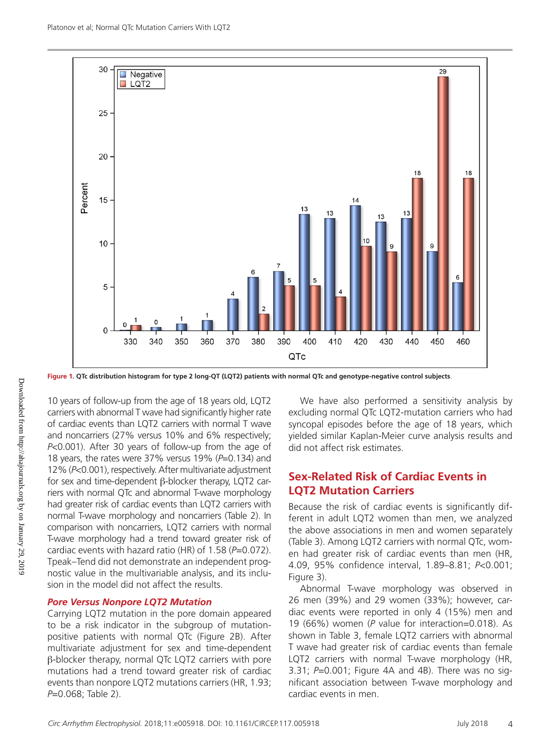*Circ Arrhythm Electrophysiol.* 2018;11:e005918. DOI: 10.1161/CIRCEP.117.005918 July 2018 4

We have also performed a sensitivity analysis by excluding normal QTc LQT2-mutation carriers who had syncopal episodes before the age of 18 years, which yielded similar Kaplan-Meier curve analysis results and did not affect risk estimates.

## **Sex-Related Risk of Cardiac Events in LQT2 Mutation Carriers**

Because the risk of cardiac events is significantly different in adult LQT2 women than men, we analyzed the above associations in men and women separately (Table 3). Among LQT2 carriers with normal QTc, women had greater risk of cardiac events than men (HR, 4.09, 95% confidence interval, 1.89–8.81; *P*<0.001; Figure 3).

Abnormal T-wave morphology was observed in 26 men (39%) and 29 women (33%); however, cardiac events were reported in only 4 (15%) men and 19 (66%) women (*P* value for interaction=0.018). As shown in Table 3, female LQT2 carriers with abnormal T wave had greater risk of cardiac events than female LQT2 carriers with normal T-wave morphology (HR, 3.31; *P*=0.001; Figure 4A and 4B). There was no significant association between T-wave morphology and cardiac events in men.

**Figure 1. QTc distribution histogram for type 2 long-QT (LQT2) patients with normal QTc and genotype-negative control subjects**.

10 years of follow-up from the age of 18 years old, LQT2 carriers with abnormal T wave had significantly higher rate of cardiac events than LQT2 carriers with normal T wave and noncarriers (27% versus 10% and 6% respectively; *P*<0.001). After 30 years of follow-up from the age of 18 years, the rates were 37% versus 19% (*P*=0.134) and 12% (*P*<0.001), respectively. After multivariate adjustment for sex and time-dependent β-blocker therapy, LQT2 carriers with normal QTc and abnormal T-wave morphology had greater risk of cardiac events than LQT2 carriers with normal T-wave morphology and noncarriers (Table 2). In comparison with noncarriers, LQT2 carriers with normal T-wave morphology had a trend toward greater risk of cardiac events with hazard ratio (HR) of 1.58 (*P*=0.072). Tpeak–Tend did not demonstrate an independent prognostic value in the multivariable analysis, and its inclusion in the model did not affect the results.

## *Pore Versus Nonpore LQT2 Mutation*

Carrying LQT2 mutation in the pore domain appeared to be a risk indicator in the subgroup of mutationpositive patients with normal QTc (Figure 2B). After multivariate adjustment for sex and time-dependent β-blocker therapy, normal QTc LQT2 carriers with pore mutations had a trend toward greater risk of cardiac events than nonpore LQT2 mutations carriers (HR, 1.93; *P*=0.068; Table 2).

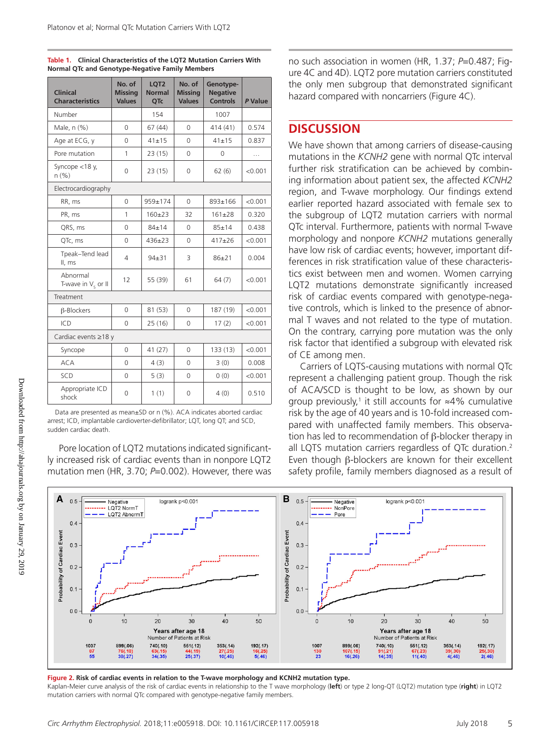| <b>Clinical</b><br><b>Characteristics</b> | No. of<br><b>Missing</b><br><b>Values</b> | LQT2<br><b>Normal</b><br>QTc | No. of<br><b>Missing</b><br><b>Values</b> | Genotype-<br><b>Negative</b><br><b>Controls</b> | P Value |  |  |
|-------------------------------------------|-------------------------------------------|------------------------------|-------------------------------------------|-------------------------------------------------|---------|--|--|
| Number                                    |                                           | 154                          |                                           | 1007                                            |         |  |  |
| Male, n (%)                               | $\Omega$                                  | 67(44)                       | $\Omega$                                  | 414 (41)                                        | 0.574   |  |  |
| Age at ECG, y                             | 0                                         | $41 + 15$                    | 0                                         | $41 + 15$                                       | 0.837   |  |  |
| Pore mutation                             | 1                                         | 23(15)                       | $\mathbf 0$                               | 0                                               | .       |  |  |
| Syncope <18 y,<br>n(% )                   | 0                                         | 23(15)                       | 0                                         | 62(6)                                           | < 0.001 |  |  |
| Electrocardiography                       |                                           |                              |                                           |                                                 |         |  |  |
| RR, ms                                    | 0                                         | 959±174                      | 0                                         | 893±166                                         | < 0.001 |  |  |
| PR, ms                                    | 1                                         | $160 + 23$                   | 32                                        | $161 + 28$                                      | 0.320   |  |  |
| QRS, ms                                   | $\Omega$                                  | $84 + 14$                    | $\Omega$                                  | $85 + 14$                                       | 0.438   |  |  |
| QTc, ms                                   | 0                                         | $436 + 23$                   | 0                                         | $417+26$                                        | < 0.001 |  |  |
| Tpeak-Tend lead<br>II, ms                 | 4                                         | $94 + 31$                    | 3                                         | $86+21$                                         | 0.004   |  |  |
| Abnormal<br>T-wave in $V_5$ or II         | 12                                        | 55 (39)                      | 61                                        | 64(7)                                           | < 0.001 |  |  |
| Treatment                                 |                                           |                              |                                           |                                                 |         |  |  |
| $\beta$ -Blockers                         | 0                                         | 81 (53)                      | 0                                         | 187 (19)                                        | < 0.001 |  |  |
| ICD                                       | 0                                         | 25(16)                       | 0                                         | 17(2)                                           | < 0.001 |  |  |
| Cardiac events ≥18 y                      |                                           |                              |                                           |                                                 |         |  |  |
| Syncope                                   | 0                                         | 41(27)                       | 0                                         | 133 (13)                                        | < 0.001 |  |  |
| <b>ACA</b>                                | 0                                         | 4(3)                         | 0                                         | 3(0)                                            | 0.008   |  |  |
| SCD                                       | 0                                         | 5(3)                         | 0                                         | 0(0)                                            | < 0.001 |  |  |
| Appropriate ICD<br>shock                  | $\Omega$                                  | 1(1)                         | 0                                         | 4(0)                                            | 0.510   |  |  |

**Table 1. Clinical Characteristics of the LQT2 Mutation Carriers With Normal QTc and Genotype-Negative Family Members**

Data are presented as mean±SD or n (%). ACA indicates aborted cardiac arrest; ICD, implantable cardioverter-defibrillator; LQT, long QT; and SCD, sudden cardiac death.

Pore location of LQT2 mutations indicated significantly increased risk of cardiac events than in nonpore LQT2 mutation men (HR, 3.70; *P*=0.002). However, there was no such association in women (HR, 1.37; *P*=0.487; Figure 4C and 4D). LQT2 pore mutation carriers constituted the only men subgroup that demonstrated significant hazard compared with noncarriers (Figure 4C).

## **DISCUSSION**

We have shown that among carriers of disease-causing mutations in the *KCNH2* gene with normal QTc interval further risk stratification can be achieved by combining information about patient sex, the affected *KCNH2* region, and T-wave morphology. Our findings extend earlier reported hazard associated with female sex to the subgroup of LQT2 mutation carriers with normal QTc interval. Furthermore, patients with normal T-wave morphology and nonpore *KCNH2* mutations generally have low risk of cardiac events; however, important differences in risk stratification value of these characteristics exist between men and women. Women carrying LQT2 mutations demonstrate significantly increased risk of cardiac events compared with genotype-negative controls, which is linked to the presence of abnormal T waves and not related to the type of mutation. On the contrary, carrying pore mutation was the only risk factor that identified a subgroup with elevated risk of CE among men.

Carriers of LQTS-causing mutations with normal QTc represent a challenging patient group. Though the risk of ACA/SCD is thought to be low, as shown by our group previously,<sup>1</sup> it still accounts for  $\approx$ 4% cumulative risk by the age of 40 years and is 10-fold increased compared with unaffected family members. This observation has led to recommendation of β-blocker therapy in all LQTS mutation carriers regardless of QTc duration.<sup>2</sup> Even though β-blockers are known for their excellent safety profile, family members diagnosed as a result of



**Figure 2. Risk of cardiac events in relation to the T-wave morphology and KCNH2 mutation type.** Kaplan-Meier curve analysis of the risk of cardiac events in relationship to the T wave morphology (**left**) or type 2 long-QT (LQT2) mutation type (**right**) in LQT2 mutation carriers with normal QTc compared with genotype-negative family members.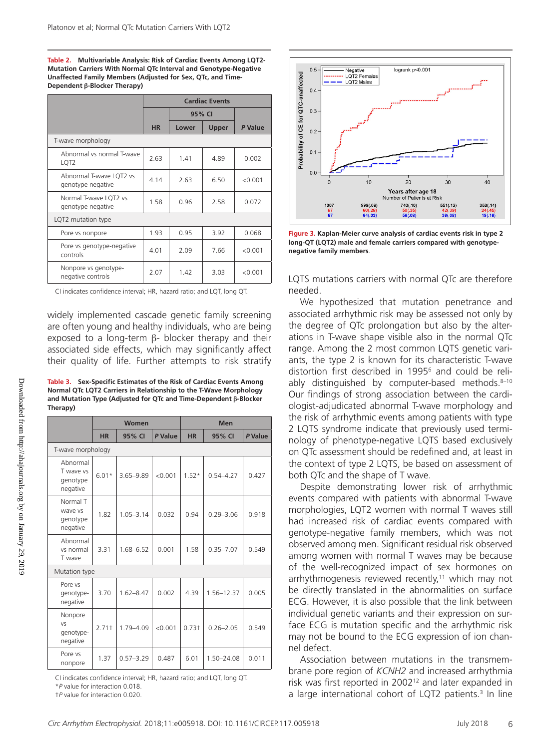**Table 2. Multivariable Analysis: Risk of Cardiac Events Among LQT2- Mutation Carriers With Normal QTc Interval and Genotype-Negative Unaffected Family Members (Adjusted for Sex, QTc, and Time-Dependent β-Blocker Therapy)**

|                                               | <b>Cardiac Events</b> |        |              |         |  |
|-----------------------------------------------|-----------------------|--------|--------------|---------|--|
|                                               |                       | 95% CI |              |         |  |
|                                               | <b>HR</b>             | Lower  | <b>Upper</b> | P Value |  |
| T-wave morphology                             |                       |        |              |         |  |
| Abnormal vs normal T-wave<br>LQT <sub>2</sub> | 2.63                  | 1.41   | 4.89         | 0.002   |  |
| Abnormal T-wave LQT2 vs<br>genotype negative  | 4.14                  | 2.63   | 6.50         | < 0.001 |  |
| Normal T-wave LQT2 vs<br>genotype negative    | 1.58                  | 0.96   | 2.58         | 0.072   |  |
| LQT2 mutation type                            |                       |        |              |         |  |
| Pore vs nonpore                               | 1.93                  | 0.95   | 3.92         | 0.068   |  |
| Pore vs genotype-negative<br>controls         | 4.01                  | 2.09   | 7.66         | < 0.001 |  |
| Nonpore vs genotype-<br>negative controls     | 2.07                  | 1.42   | 3.03         | < 0.001 |  |

CI indicates confidence interval; HR, hazard ratio; and LQT, long QT.

widely implemented cascade genetic family screening are often young and healthy individuals, who are being exposed to a long-term  $β$ - blocker therapy and their associated side effects, which may significantly affect their quality of life. Further attempts to risk stratify

**Table 3. Sex-Specific Estimates of the Risk of Cardiac Events Among Normal QTc LQT2 Carriers in Relationship to the T-Wave Morphology and Mutation Type (Adjusted for QTc and Time-Dependent β-Blocker Therapy)**

|                                               | Women     |               |         | <b>Men</b>        |               |         |  |  |  |
|-----------------------------------------------|-----------|---------------|---------|-------------------|---------------|---------|--|--|--|
|                                               | <b>HR</b> | 95% CI        | P Value | <b>HR</b>         | 95% CI        | P Value |  |  |  |
| T-wave morphology                             |           |               |         |                   |               |         |  |  |  |
| Abnormal<br>T wave ys<br>genotype<br>negative | $6.01*$   | 3.65-9.89     | < 0.001 | $1.52*$           | $0.54 - 4.27$ | 0.427   |  |  |  |
| Normal T<br>wave vs<br>genotype<br>negative   | 1.82      | $1.05 - 3.14$ | 0.032   | 0.94              | $0.29 - 3.06$ | 0.918   |  |  |  |
| Abnormal<br>vs normal<br>T wave               | 3.31      | 1.68-6.52     | 0.001   | 1.58              | $0.35 - 7.07$ | 0.549   |  |  |  |
| Mutation type                                 |           |               |         |                   |               |         |  |  |  |
| Pore vs<br>genotype-<br>negative              | 3.70      | $1.62 - 8.47$ | 0.002   | 4.39              | 1.56-12.37    | 0.005   |  |  |  |
| Nonpore<br>VS<br>genotype-<br>negative        | $2.71+$   | 1.79-4.09     | < 0.001 | 0.73 <sup>†</sup> | $0.26 - 2.05$ | 0.549   |  |  |  |
| Pore vs<br>nonpore                            | 1.37      | $0.57 - 3.29$ | 0.487   | 6.01              | 1.50-24.08    | 0.011   |  |  |  |

CI indicates confidence interval; HR, hazard ratio; and LQT, long QT. \**P* value for interaction 0.018.

†*P* value for interaction 0.020.



**Figure 3. Kaplan-Meier curve analysis of cardiac events risk in type 2 long-QT (LQT2) male and female carriers compared with genotypenegative family members**.

LQTS mutations carriers with normal QTc are therefore needed.

We hypothesized that mutation penetrance and associated arrhythmic risk may be assessed not only by the degree of QTc prolongation but also by the alterations in T-wave shape visible also in the normal QTc range. Among the 2 most common LQTS genetic variants, the type 2 is known for its characteristic T-wave distortion first described in 1995<sup>6</sup> and could be reliably distinguished by computer-based methods. 8-10 Our findings of strong association between the cardiologist-adjudicated abnormal T-wave morphology and the risk of arrhythmic events among patients with type 2 LQTS syndrome indicate that previously used terminology of phenotype-negative LQTS based exclusively on QTc assessment should be redefined and, at least in the context of type 2 LQTS, be based on assessment of both QTc and the shape of T wave.

Despite demonstrating lower risk of arrhythmic events compared with patients with abnormal T-wave morphologies, LQT2 women with normal T waves still had increased risk of cardiac events compared with genotype-negative family members, which was not observed among men. Significant residual risk observed among women with normal T waves may be because of the well-recognized impact of sex hormones on arrhythmogenesis reviewed recently, $11$  which may not be directly translated in the abnormalities on surface ECG. However, it is also possible that the link between individual genetic variants and their expression on surface ECG is mutation specific and the arrhythmic risk may not be bound to the ECG expression of ion channel defect.

Association between mutations in the transmembrane pore region of *KCNH2* and increased arrhythmia risk was first reported in 2002<sup>12</sup> and later expanded in a large international cohort of LQT2 patients.<sup>3</sup> In line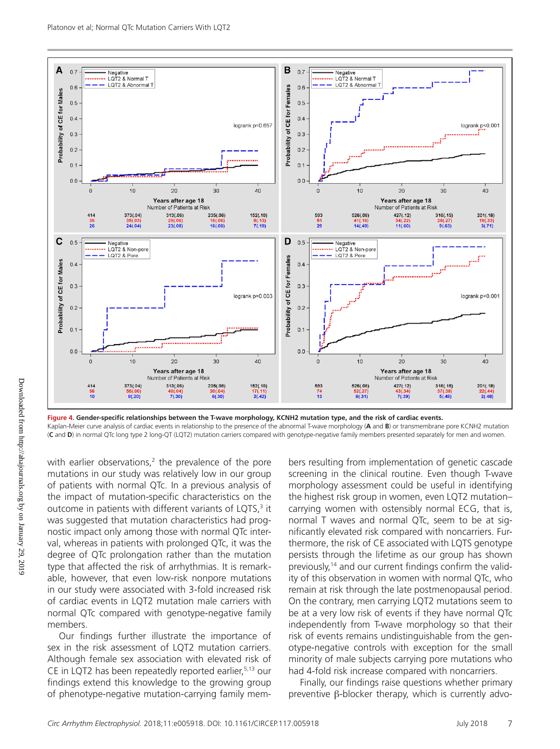with earlier observations, $2$  the prevalence of the pore mutations in our study was relatively low in our group of patients with normal QTc. In a previous analysis of the impact of mutation-specific characteristics on the outcome in patients with different variants of LQTS,<sup>3</sup> it was suggested that mutation characteristics had prognostic impact only among those with normal QTc interval, whereas in patients with prolonged QTc, it was the degree of QTc prolongation rather than the mutation type that affected the risk of arrhythmias. It is remarkable, however, that even low-risk nonpore mutations in our study were associated with 3-fold increased risk of cardiac events in LQT2 mutation male carriers with normal QTc compared with genotype-negative family members.

Our findings further illustrate the importance of sex in the risk assessment of LQT2 mutation carriers. Although female sex association with elevated risk of CE in LQT2 has been repeatedly reported earlier,  $5,13$  our findings extend this knowledge to the growing group of phenotype-negative mutation-carrying family members resulting from implementation of genetic cascade screening in the clinical routine. Even though T-wave morphology assessment could be useful in identifying the highest risk group in women, even LQT2 mutation– carrying women with ostensibly normal ECG, that is, normal T waves and normal QTc, seem to be at significantly elevated risk compared with noncarriers. Furthermore, the risk of CE associated with LQTS genotype persists through the lifetime as our group has shown previously,<sup>14</sup> and our current findings confirm the validity of this observation in women with normal QTc, who remain at risk through the late postmenopausal period. On the contrary, men carrying LQT2 mutations seem to be at a very low risk of events if they have normal QTc independently from T-wave morphology so that their risk of events remains undistinguishable from the genotype-negative controls with exception for the small minority of male subjects carrying pore mutations who had 4-fold risk increase compared with noncarriers.

Finally, our findings raise questions whether primary preventive β-blocker therapy, which is currently advo-



logrank p<0.001

40

 $201(.18)$ 

19(.33)<br>3(.71)

logrank p<0.001

40

201(.18)<br>22(.44)

22(.44)<br>2(.48)

 $30$ 

28(.27)<br>9(.63)

 $30$ 

37(.38)<br>5(.48)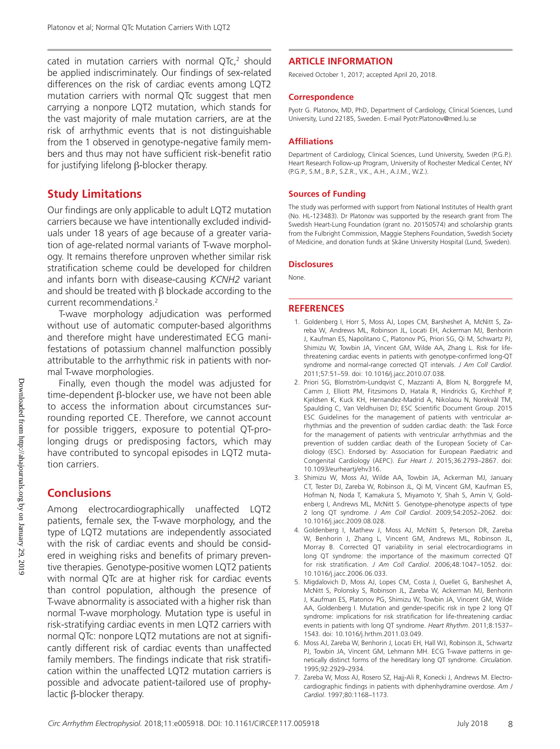cated in mutation carriers with normal  $QTc<sub>i</sub>$ <sup>2</sup> should be applied indiscriminately. Our findings of sex-related differences on the risk of cardiac events among LQT2 mutation carriers with normal QTc suggest that men carrying a nonpore LQT2 mutation, which stands for the vast majority of male mutation carriers, are at the risk of arrhythmic events that is not distinguishable from the 1 observed in genotype-negative family members and thus may not have sufficient risk-benefit ratio for justifying lifelong β-blocker therapy.

## **Study Limitations**

Our findings are only applicable to adult LQT2 mutation carriers because we have intentionally excluded individuals under 18 years of age because of a greater variation of age-related normal variants of T-wave morphology. It remains therefore unproven whether similar risk stratification scheme could be developed for children and infants born with disease-causing *KCNH2* variant and should be treated with  $\beta$  blockade according to the current recommendations.2

T-wave morphology adjudication was performed without use of automatic computer-based algorithms and therefore might have underestimated ECG manifestations of potassium channel malfunction possibly attributable to the arrhythmic risk in patients with normal T-wave morphologies.

Finally, even though the model was adjusted for time-dependent β-blocker use, we have not been able to access the information about circumstances surrounding reported CE. Therefore, we cannot account for possible triggers, exposure to potential QT-prolonging drugs or predisposing factors, which may have contributed to syncopal episodes in LQT2 mutation carriers.

## **Conclusions**

Among electrocardiographically unaffected LQT2 patients, female sex, the T-wave morphology, and the type of LQT2 mutations are independently associated with the risk of cardiac events and should be considered in weighing risks and benefits of primary preventive therapies. Genotype-positive women LQT2 patients with normal QTc are at higher risk for cardiac events than control population, although the presence of T-wave abnormality is associated with a higher risk than normal T-wave morphology. Mutation type is useful in risk-stratifying cardiac events in men LQT2 carriers with normal QTc: nonpore LQT2 mutations are not at significantly different risk of cardiac events than unaffected family members. The findings indicate that risk stratification within the unaffected LQT2 mutation carriers is possible and advocate patient-tailored use of prophylactic β-blocker therapy.

#### **ARTICLE INFORMATION**

Received October 1, 2017; accepted April 20, 2018.

#### **Correspondence**

Pyotr G. Platonov, MD, PhD, Department of Cardiology, Clinical Sciences, Lund University, Lund 22185, Sweden. E-mail [Pyotr.Platonov@med.lu.se](mailto:Pyotr.Platonov@med.lu.se)

#### **Affiliations**

Department of Cardiology, Clinical Sciences, Lund University, Sweden (P.G.P.). Heart Research Follow-up Program, University of Rochester Medical Center, NY (P.G.P., S.M., B.P., S.Z.R., V.K., A.H., A.J.M., W.Z.).

#### **Sources of Funding**

The study was performed with support from National Institutes of Health grant (No. HL-123483). Dr Platonov was supported by the research grant from The Swedish Heart-Lung Foundation (grant no. 20150574) and scholarship grants from the Fulbright Commission, Maggie Stephens Foundation, Swedish Society of Medicine, and donation funds at Skåne University Hospital (Lund, Sweden).

#### **Disclosures**

None.

#### **REFERENCES**

- 1. Goldenberg I, Horr S, Moss AJ, Lopes CM, Barsheshet A, McNitt S, Zareba W, Andrews ML, Robinson JL, Locati EH, Ackerman MJ, Benhorin J, Kaufman ES, Napolitano C, Platonov PG, Priori SG, Qi M, Schwartz PJ, Shimizu W, Towbin JA, Vincent GM, Wilde AA, Zhang L. Risk for lifethreatening cardiac events in patients with genotype-confirmed long-QT syndrome and normal-range corrected QT intervals. *J Am Coll Cardiol*. 2011;57:51–59. doi: 10.1016/j.jacc.2010.07.038.
- 2. Priori SG, Blomström-Lundqvist C, Mazzanti A, Blom N, Borggrefe M, Camm J, Elliott PM, Fitzsimons D, Hatala R, Hindricks G, Kirchhof P, Kjeldsen K, Kuck KH, Hernandez-Madrid A, Nikolaou N, Norekvål TM, Spaulding C, Van Veldhuisen DJ; ESC Scientific Document Group. 2015 ESC Guidelines for the management of patients with ventricular arrhythmias and the prevention of sudden cardiac death: the Task Force for the management of patients with ventricular arrhythmias and the prevention of sudden cardiac death of the European Society of Cardiology (ESC). Endorsed by: Association for European Paediatric and Congenital Cardiology (AEPC). *Eur Heart J*. 2015;36:2793–2867. doi: 10.1093/eurheartj/ehv316.
- 3. Shimizu W, Moss AJ, Wilde AA, Towbin JA, Ackerman MJ, January CT, Tester DJ, Zareba W, Robinson JL, Qi M, Vincent GM, Kaufman ES, Hofman N, Noda T, Kamakura S, Miyamoto Y, Shah S, Amin V, Goldenberg I, Andrews ML, McNitt S. Genotype-phenotype aspects of type 2 long QT syndrome. *J Am Coll Cardiol*. 2009;54:2052–2062. doi: 10.1016/j.jacc.2009.08.028.
- 4. Goldenberg I, Mathew J, Moss AJ, McNitt S, Peterson DR, Zareba W, Benhorin J, Zhang L, Vincent GM, Andrews ML, Robinson JL, Morray B. Corrected QT variability in serial electrocardiograms in long QT syndrome: the importance of the maximum corrected QT for risk stratification. *J Am Coll Cardiol*. 2006;48:1047–1052. doi: 10.1016/j.jacc.2006.06.033.
- 5. Migdalovich D, Moss AJ, Lopes CM, Costa J, Ouellet G, Barsheshet A, McNitt S, Polonsky S, Robinson JL, Zareba W, Ackerman MJ, Benhorin J, Kaufman ES, Platonov PG, Shimizu W, Towbin JA, Vincent GM, Wilde AA, Goldenberg I. Mutation and gender-specific risk in type 2 long QT syndrome: implications for risk stratification for life-threatening cardiac events in patients with long QT syndrome. *Heart Rhythm*. 2011;8:1537– 1543. doi: 10.1016/j.hrthm.2011.03.049.
- 6. Moss AJ, Zareba W, Benhorin J, Locati EH, Hall WJ, Robinson JL, Schwartz PJ, Towbin JA, Vincent GM, Lehmann MH. ECG T-wave patterns in genetically distinct forms of the hereditary long QT syndrome. *Circulation*. 1995;92:2929–2934.
- 7. Zareba W, Moss AJ, Rosero SZ, Hajj-Ali R, Konecki J, Andrews M. Electrocardiographic findings in patients with diphenhydramine overdose. *Am J Cardiol*. 1997;80:1168–1173.